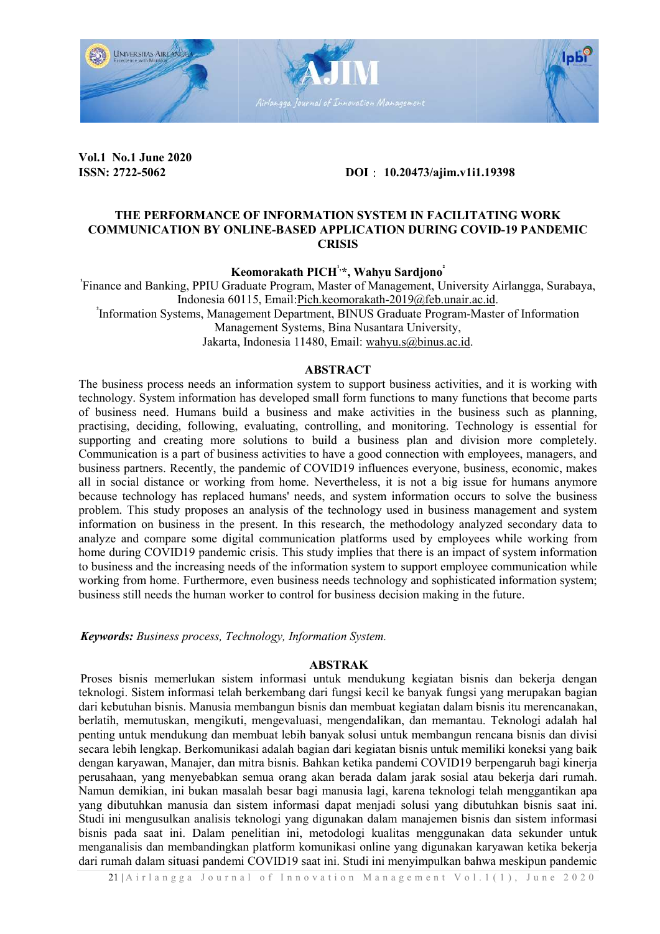

Vol.1 No.1 June 2020 ISSN: 2722-5062

DOI: 10.20473/ajim.v1i1.19398

## THE PERFORMANCE OF INFORMATION SYSTEM IN FACILITATING WORK COMMUNICATION BY ONLINE-BASED APPLICATION DURING COVID-19 PANDEMIC **CRISIS**

Keomorakath PICH<sup>1,\*</sup>, Wahyu Sardjono<sup>ʻ</sup>

Finance and Banking, PPIU Graduate Program, Master of Management, University Airlangga, Surabaya, Indonesia 60115, Email: Pich.keomorakath-2019@feb.unair.ac.id. Information Systems, Management Department, BINUS Graduate Program-Master of Information

Management Systems, Bina Nusantara University,

Management Systems, Bina Nusantara University, Jakarta, Indonesia 11480, Email: wahyu.s@binus.ac.id.

### ABSTRACT

The business process needs an information system to support business activities, and it is working with technology. System information has developed small form functions to many functions that become parts technology. System information has developed small form functions to many functions that become parts of business need. Humans build a business and make activities in the business such as planning, practising, deciding, following, evaluating, controlling, and monitoring. Technology is essential for practising, deciding, following, evaluating, controlling, and monitoring. Technology is essential for supporting and creating more solutions to build a business plan and division Communication is a part of business activities to have a good connection with employees, managers, and business partners. Recently, the pandemic of COVID19 influences everyone, business, economic, makes all in social distance or working from home. Nevertheless, it is not a big issue for humans anymore all in social distance or working from home. Nevertheless, it is not a big issue for humans anymore because technology has replaced humans' needs, and system information occurs to solve the business problem. This study proposes an analysis of the technology used in business management and system information on business in the present. In this research, the methodology analyzed secondary data to analyze and compare some digital communication platforms used by employees while working from home during COVID19 pandemic crisis. This study implies that there is an impact of system information to business and the increasing needs of the information system to support employee communication while working from home. Furthermore, even business needs technology and sophisticated information system; business still needs the human worker to control for business decision making in the future. se technology has replaced humans' needs, and system information occurs to solve the business m. This study proposes an analysis of the technology used in business management and system ation on business in the present. In business and the increasing needs of the information system to support employee communication while orking from home. Furthermore, even business needs technology and sophisticated information system; siness still needs the Master of Information<br>
.<br>
es, and it is working with<br>
unctions that become parts<br>
siness such as planning,<br>
chnology is essential for<br>
vision more completely.

Keywords: Business process, Technology, Information System.

### ABSTRAK

Proses bisnis memerlukan sistem informasi untuk mendukung kegiatan bisnis dan bekerja dengan teknologi. Sistem informasi telah berkembang dari fungsi kecil ke banyak fungsi yang merupakan bagian dari kebutuhan bisnis. Manusia membangun bisnis dan membuat kegiatan dalam bisnis itu merencanakan, berlatih, memutuskan, mengikuti, mengevaluasi, mengendalikan, dan memantau. Teknologi adalah hal memutuskan, hal penting untuk mendukung dan membuat lebih banyak solusi untuk membangun rencana bisnis dan divisi secara lebih lengkap. Berkomunikasi adalah bagian dari kegiatan bisnis untuk memiliki koneksi yang baik<br>dengan karyawan, Manajer, dan mitra bisnis. Bahkan ketika pandemi COVID19 berpengaruh bagi kinerja dengan karyawan, Manajer, dan mitra bisnis. Bahkan perusahaan, yang menyebabkan semua orang akan berada dalam jarak sosial ata Namun demikian, ini bukan masalah besar bagi manusia lagi, karena teknologi telah menggantikan apa Namun demikian, ini bukan masalah besar bagi manusia lagi, karena teknologi telah menggantikan apa<br>yang dibutuhkan manusia dan sistem informasi dapat menjadi solusi yang dibutuhkan bisnis saat ini. Studi ini mengusulkan analisis teknologi yang digunakan dalam manajemen bisnis dan sistem informasi bisnis pada saat ini. Dalam penelitian ini, metodologi kualitas menggunakan data sekunder untuk menganalisis dan membandingkan platform komunikasi online yang digunakan karyawan ketika bekerja dari rumah dalam situasi pandemi COVID19 saat ini. Studi ini menyimpulkan bahwa bisnis memerlukan sistem informasi untuk mendukung kegiatan bisnis dan bekerja dengan<br>gi. Sistem informasi telah berkembang dari fungsi kecil ke banyak fungsi yang merupakan bagian<br>utuhan bisnis. Manusia membangun bisnis d egiatan dalam bisnis itu merencanakan,<br>dan memantau. Teknologi adalah hal<br>k membangun rencana bisnis dan divisi<br>isnis untuk memiliki koneksi yang baik<br>mi COVID19 berpengaruh bagi kinerja<br>1 jarak sosial atau bekerja dari ru logi yang digunakan dalam manajemen bisnis dan sistem informasi<br>tian ini, metodologi kualitas menggunakan data sekunder untuk<br>atform komunikasi online yang digunakan karyawan ketika bekerja<br>DVID19 saat ini. Studi ini menyi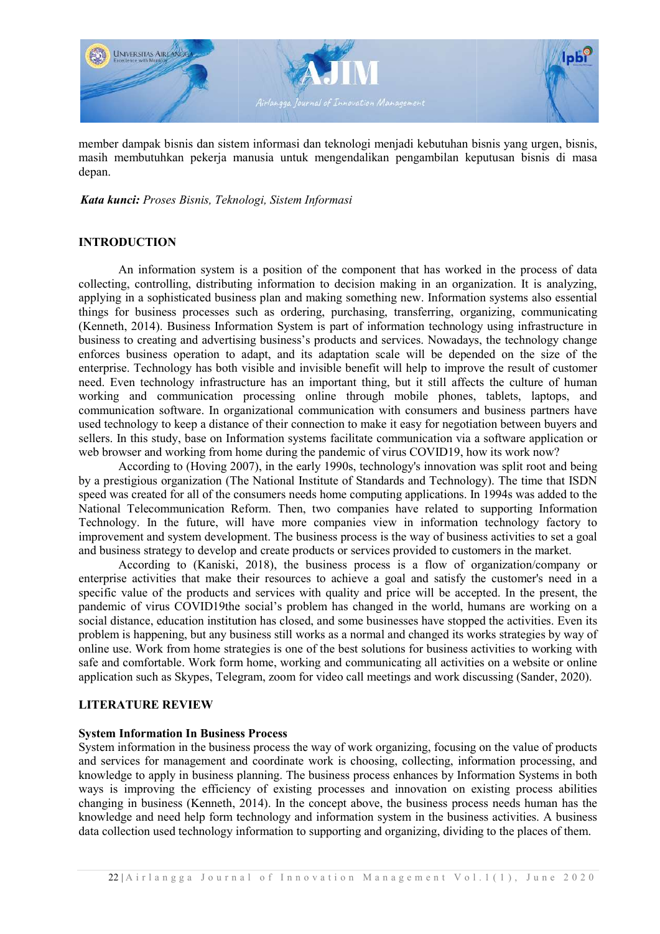

member dampak bisnis dan sistem informasi dan teknologi menjadi kebutuhan bisnis bisnis yang urgen, bisnis, masih membutuhkan pekerja manusia untuk mengendalikan pe pengambilan keputusan bisnis di masa depan.

Kata kunci: Proses Bisnis, Teknologi, Sistem Informasi

# INTRODUCTION

An information system is a position of the component that has worked in the process of data An information system is a position of the component that has worked in the process of data collecting, controlling, distributing information to decision making in an organization. It is analyzing, applying in a sophisticated business plan and making something new. Information systems also essential things for business processes such as ordering, purchasing, transferring, organizing, communicating (Kenneth, 2014). Business Information System is part of information technology using infrastructure in business to creating and advertising business's products and services. Nowadays, the technology change enforces business operation to adapt, and its adaptation scale will be depended on the size of the enterprise. Technology has both visible and invisible benefit will help to improve the result of customer need. Even technology infrastructure has an important thing, but it still affects the culture of human working and communication processing online through mobile phones, tablets, laptops, and communication software. In organizational communication with consumers and business partners have used technology to keep a distance of their connection to make it easy for negotiation between buyers and sellers. In this study, base on Information systems facilitate communication via a software application or web browser and working from home during the pandemic of virus COVID19, how its work now? ngambilan keputusan bisnis di masa<br>hat has worked in the process of data<br>ng in an organization. It is analyzing,

According to (Hoving 2007), in the early 1990s, technology's innovation was split root and being by a prestigious organization (The National Institute of Standards and Technology). The time that ISDN by a prestigious organization (The National Institute of Standards and Technology). The time that ISDN speed was created for all of the consumers needs home computing applications. In 1994s was added to the National Telecommunication Reform Reform. Then, two companies have related to supporting Information Technology. In the future, will have more companies view in information technology factory to improvement and system development. The business process is the way of business activities to set a goal and business strategy to develop and create products or services provided to customers in the market.

According to (Kaniski, 2018), the business process is a flow of organization/company or enterprise activities that make their resources to achieve a goal and satisfy the customer's need in a specific value of the products and services with quality and price will be accepted. In the present, the pandemic of virus COVID19the social's problem has changed in the world, humans are working on a social distance, education institution has closed, and some businesses have stopped the activities. Even its problem is happening, but any business still works as a normal and changed its works strategies by way of online use. Work from home strategies is one of the best solutions for business activities to working with safe and comfortable. Work form home, working and communicating all activities on a website or online application such as Skypes, Telegram, zoom for video call meetings and work discussing (Sander, 2020).

### LITERATURE REVIEW

# System Information In Business Process System Information

System information in the business process the way of work organizing, focusing on the value of products and services for management and coordinate work is choosing, collecting, information processing, and knowledge to apply in business planning. The business process enhances by Information Systems in both ways is improving the efficiency of existing processes and innovation on existing process abilities changing in business (Kenneth, 2014). In the concept above, the business process needs human has the knowledge and need help form technology and information system in the business activities. A business data collection used technology information to supporting and organizing, dividing to the places of them.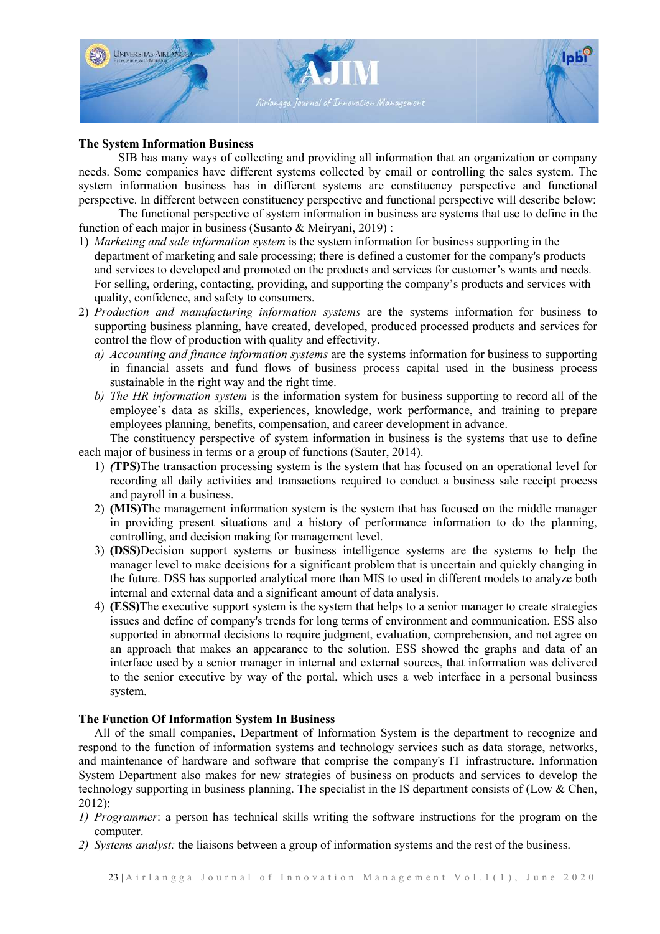

# The System Information Business Business

SIB has many ways of collecting and providing all information that an organization or company needs. Some companies have different systems collected by email or controlling the sales system. The system information business has in different systems are constituency perspective and functional perspective. In different between constituency perspective and functional perspective will describe below:

The functional perspective of system information in business are systems that use to define in the function of each major in business (Susanto & Meiryani, 2019) :

- 1) Marketing and sale information system is the system information for business supporting in the department of marketing and sale processing; there is defined a customer for the company's products and services to developed and promoted on the products and services for customer's wants and needs. For selling, ordering, contacting, providing, and supporting the company's products and services with quality, confidence, and safety to consumers.
- 2) Production and manufacturing information systems are the systems information for business to supporting business planning, have created, developed, produced processed products and services for control the flow of production with quality and effectivity.
	- a) Accounting and finance information systems are the systems information for business to supporting in financial assets and fund flows of business process capital used in the business process sustainable in the right way and the right time.
	- b) The HR information system is the information system for business supporting to record all of the employee's data as skills, experiences, knowledge, work performance, and training to prepare employees planning, benefits, compensation, and career development in advance.

The constituency perspective of system information in business is the systems that use to define each major of business in terms or a group of functions (Sauter, 2014).

- 1) (TPS)The transaction processing system is the system that has focused on an operational level for recording all daily activities and transactions required to conduct a business sale receipt process and payroll in a business.
- 2) (MIS)The management information system is the system that has focused on the middle manager in providing present situations and a history of performance information to do the planning, controlling, and decision making for management level.
- 3) (DSS)Decision support systems or business intelligence systems are the systems to help the manager level to make decisions for a significant problem that is uncertain and quickly changing in the future. DSS has supported analytical more than MIS to used in different models to analyze both internal and external data and a significant amount of data analysis.
- internal and external data and a significant amount of data analysis.<br>4) (ESS)The executive support system is the system that helps to a senior manager to create strategies issues and define of company's trends for long terms of environment and communication. ESS also supported in abnormal decisions to require judgment, evaluation, comprehension, and not agree on an approach that makes an appearance to the solution. ESS showed the graphs and data of an interface used by a senior manager in internal and external sources, that information was delivered to the senior executive by way of the portal, which uses a web interface in a personal business system.

### The Function Of Information System System In Business

All of the small companies, Department of Information System is the department to recognize and respond to the function of information systems and technology services such as data storage, networks, and maintenance of hardware and software that comprise the company's IT infrastructure. Information respond to the function of information systems and technology services such as data storage, networks, and maintenance of hardware and software that comprise the company's IT infrastructure. Information System Department a technology supporting in business planning. The specialist in the IS department consists of (Low  $&$  Chen, 2012):

- 1) Programmer: a person has technical skills writing the software instructions for the program on the computer.
- 2) Systems analyst: the liaisons between a group of information systems and the rest of the business.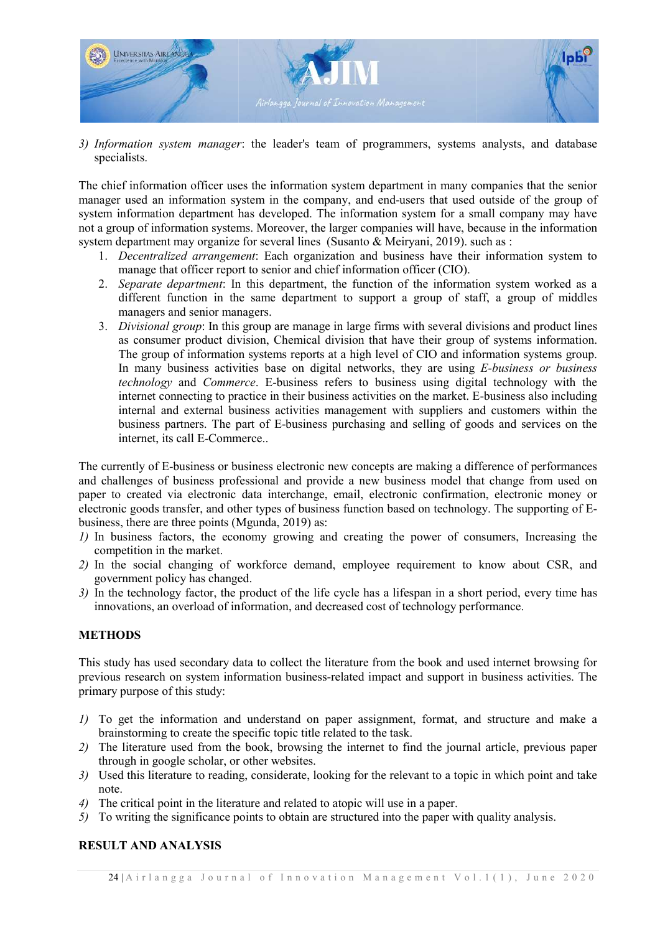

3) Information system manager: the leader's team of programmers, systems analysts, and database specialists.

The chief information officer uses the information system department in many companies that the senior manager used an information system in the company, and end-users that used outside of the group of system information department has developed. The information system for a small company may have not a group of information systems. Moreover, the larger companies will have, because in the information system department may organize for several lines (Susanto & Meiryani, 2019). such as :

- 1. Decentralized arrangement: Each organization and business have their information system to manage that officer report to senior and chief information officer (CIO).
- 2. Separate department: In this department, the function of the information system worked as a different function in the same department to support a group of staff, a group of middles managers and senior managers.
- 3. Divisional group: In this group are manage in large firms with several divisions and product lines as consumer product division, Chemical division that have their group of systems information. The group of information systems reports at a high level of CIO and information systems group. In many business activities base on digital networks, they are using  $E$ -business or business technology and Commerce. E-business refers to business using digital technology with the internet connecting to practice in their business activities on the market. E-business also including internal and external business activities management with suppliers and customers within the business partners. The part of E-business purchasing and selling of goods and services on the internet, its call E-Commerce..

The currently of E-business or business electronic new concepts are making a difference of performances and challenges of business professional and provide a new business model that change from used on paper to created via electronic data interchange, email, electronic confirmation, electronic money or electronic goods transfer, and other types of business function based on technology. The supporting of Ebusiness, there are three points (Mgunda, 2019) 2019) as:

- 1) In business factors, the economy growing and creating the power of consumers, Increasing the competition in the market.
- 2) In the social changing of workforce demand, employee requirement to know about CSR, and government policy has changed.
- government policy has changed.<br>3) In the technology factor, the product of the life cycle has a lifespan in a short period, every time has innovations, an overload of information, and decreased cost of technology performance.

### **METHODS**

This study has used secondary data to collect the literature from the book and used internet browsing for previous research on system information business-related impact and support in business activities. The primary purpose of this study:

- 1) To get the information and understand on paper assignment, format, and structure and make a brainstorming to create the specific topic title related to the task.
- 2) The literature used from the book, browsing the internet to find the journal article, previous paper through in google scholar, or other websites. 2) The literature used from the book, browsing the internet to find the journal article, previous paper<br>through in google scholar, or other websites.<br>3) Used this literature to reading, considerate, looking for the relevan
- note.
- 4) The critical point in the literature and related to atopic will use in a paper.
- 5) To writing the significance points to obtain are structured into the paper with quality analysis.

# RESULT AND ANALYSIS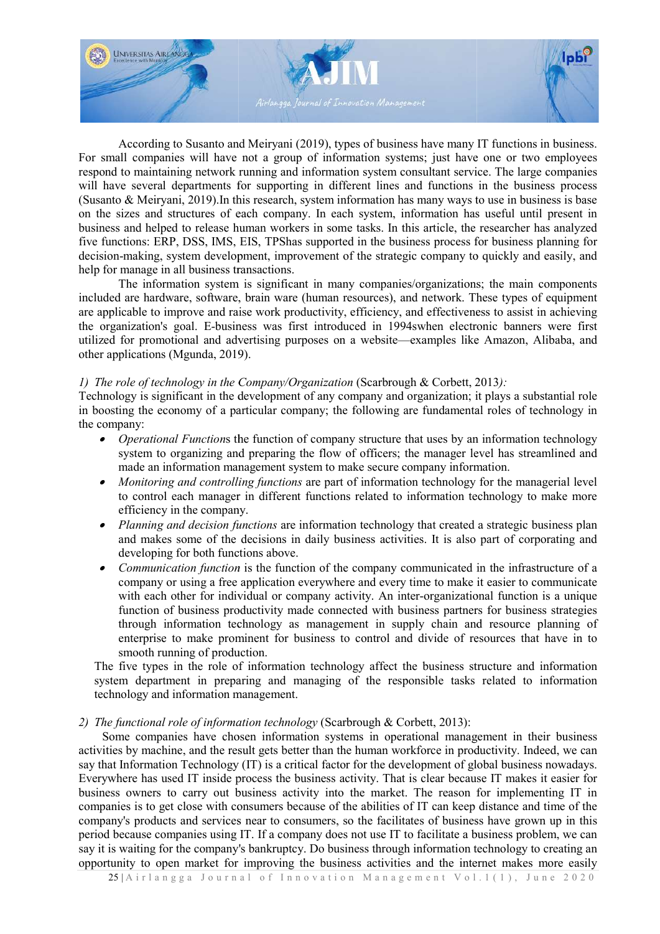

According to Susanto and Meiryani (2019), types of business have many IT functions in business. For small companies will have not a group of information systems; just have one or two employees respond to maintaining network running and information system consultant service. The large companies respond to maintaining network running and information system consultant service. The large companies will have several departments for supporting in different lines and functions in the business process (Susanto & Meiryani, 2019). In this research, system information has many ways to use in business is base on the sizes and structures of each company. In each system, information has useful until present in business and helped to release human workers in some tasks. In this article, the researcher has analyzed five functions: ERP, DSS, IMS, EIS, TPShas supported in the business process for business planning for decision-making, system development, improvement of the strategic company to quickly and easily, and help for manage in all business transactions.

The information system is significant in many companies/organizations; the main components included are hardware, software, brain ware (human resources), and network. These types of equipment are applicable to improve and raise work productivity, efficiency, and effectiveness to assist in achieving the organization's goal. E-business was first introduced in 1994swhen electronic banners were first utilized for promotional and advertising purposes on a website—examples like Amazon, Alibaba, and other applications (Mgunda, 2019) 2019).

# 1) The role of technology in the Company/Organization (Scarbrough & Corbett, 2013):

Technology is significant in the development of any company and organization; it plays a substantial role in boosting the economy of a particular company; the following are fundamental roles of technology in the company: oosting the economy of a particular company; the following are fundamental roles of technology in company:<br>
• Operational Functions the function of company structure that uses by an information technology

- system to organizing and preparing the flow of officers; the manager level has streamlined and made an information management system to make secure company information.
- Monitoring and controlling functions are part of information technology for the managerial level to control each manager in different functions related to information technology to make more efficiency in the company.
- Planning and decision functions are information technology that created a strategic business plan and makes some of the decisions in daily business activities. It is also part of corporating and developing for both functions above.
- developing for both functions above.<br>
 Communication function is the function of the company communicated in the infrastructure of a company or using a free application everywhere and every time to make it easier to communicate with each other for individual or company activity. An inter-organizational function is a unique function of business productivity made connected with business partners for business strategies through information technology as management in supply chain and resource planning of enterprise to make prominent for business to control and divide of resources that have in to smooth running of production.

The five types in the role of information technology affect the business structure and information system department in preparing and managing of the responsible tasks related to information technology and information management. vertige department in preparing and managing of the responsible tasks related to information<br>
chnology and information management.<br> *he functional role of information technology* (Scarbrough & Corbett, 2013):<br>
Some compani

2) The functional role of information technology (Scarbrough & Corbett, 2013):

activities by machine, and the result gets better than the human workforce in productivity. Indeed, we can say that Information Technology (IT) is a critical factor for the development of global business nowadays. Everywhere has used IT inside process the business activity. That is clear because IT makes it easier for business owners to carry out business activity into the market. The reason for implementing IT in companies is to get close with consumers because of the abilities of IT can keep distance and time of the company's products and services near to consumers, so the facilitates of business have grown up in this period because companies using IT. If a company does not use IT to facilitate a business problem, we can say it is waiting for the company's bankruptcy. Do business through information technology to creating an opportunity to open market for improving the business activities and the internet makes more easily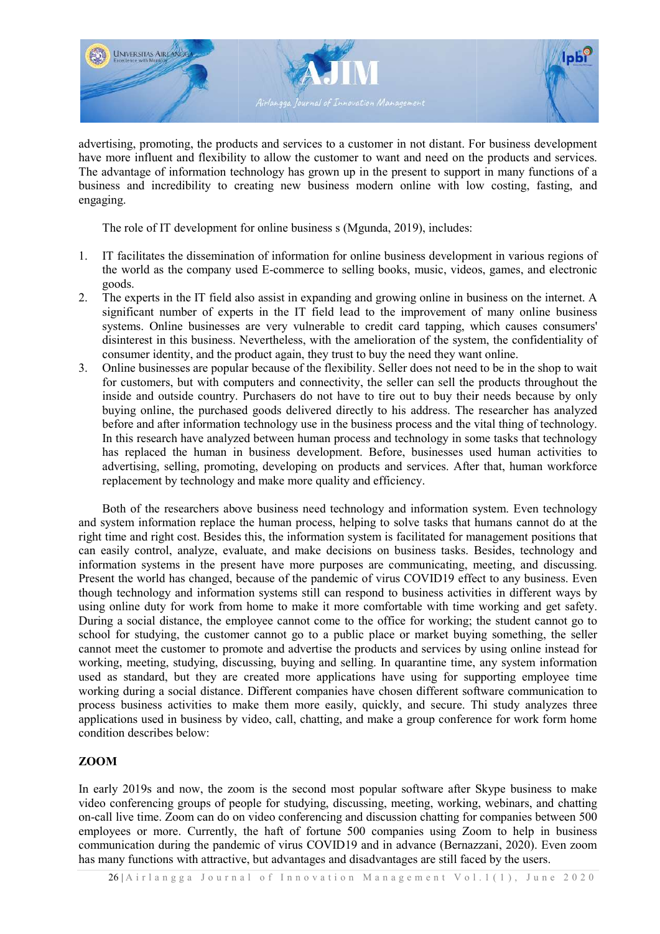

advertising, promoting, the products and services to a customer in not distant. For business development have more influent and flexibility to allow the customer to want and need on the products and services. The advantage of information technology has grown up in the present to support in many functions of a business and incredibility to creating new business modern online with low costing, fasting, and engaging.

The role of IT development for online business s (Mgunda, 2019), includes:

- 1. IT facilitates the dissemination of information for online business development in various regions of the world as the company used E-commerce to selling books, music, videos, games, and electronic goods.
- 2. The experts in the IT field also assist in expanding and growing online in business on the internet. A significant number of experts in the IT field lead to the improvement of many online business systems. Online businesses are very vulnerable to credit card tapping, which causes consumers' disinterest in this business. Nevertheless, with the amelioration of the system, the confidentia consumer identity, and the product again, they trust to buy the need they want online. businesses are very vulnerable to credit card tapping, which causes consumers' business. Nevertheless, with the amelioration of the system, the confidentiality of and the product again, they trust to buy the need they want , music, videos, games, and electronic<br>ng online in business on the internet. A<br>mprovement of many online business<br>ard tapping, which causes consumers'<br>on of the system, the confidentiality of
- 3. Online businesses are popular because of the flexibility. Seller does not need to be in the shop to wait for customers, but with computers and connectivity, the seller can sell the products throughout the inside and outside country. Purchasers do not have to tire out to buy their needs because by only buying online, the purchased goods delivered directly to his address. The researcher has analyzed buying online, the purchased goods delivered directly to his address. The researcher has analyzed before and after information technology use in the business process and the vital thing of technology. In this research have analyzed between human process and technology in some tasks that technology has replaced the human in business development. Before, businesses used human activities to advertising, selling, promoting, developing on products and services. After that, human workforce replacement by technology and make more quality and efficiency.

Both of the researchers above business need technology and information system. Even technology and system information replace the human process, helping to solve tasks that humans cannot do at the and system information replace the human process, helping to solve tasks that humans cannot do at the right time and right cost. Besides this, the information system is facilitated for management positions that can easily control, analyze, evaluate, and make decisions on business tasks. Besides, technology and information systems in the present have more purposes are communicating, meeting, and discussing. Present the world has changed, because of the pandemic of virus COVID19 effect to any business. Even though technology and information systems still can respond to business activities in different ways by using online duty for work from home to make it more comfortable with time working and get safety. During a social distance, the employee cannot come to the office for working; the student cannot go to school for studying, the customer cannot go to a public place or market buying something, the seller cannot meet the customer to promote and advertise the products and services by using online instead for working, meeting, studying, discussing, buying and selling. In quarantine time, any system information used as standard, but they are created more applications have using for supporting employee time working during a social distance. Different companies have chosen different software communication to process business activities to make them more easily, quickly, and secure. Thi study analyzes three applications used in business by video, call, chatting, and make a group conference for work form home condition describes below: In early 2019s and now, the zoom is the second most popular software after Skype business to make<br>In early 2019s and now, the zoom is the second most popular software after Skype business to make

# ZOOM

video conferencing groups of people for studying, discussing, meeting, working, webinars, and chatting on-call live time. Zoom can do on video conferencing and discussion chatting for companies between 500 employees or more. Currently, the haft of fortune 500 companies using Zoom to help in business communication during the pandemic of virus COVID19 and in advance (Bernazzani, 2020). Even zoom has many functions with attractive, but advantages and disadvantages are still faced by the users.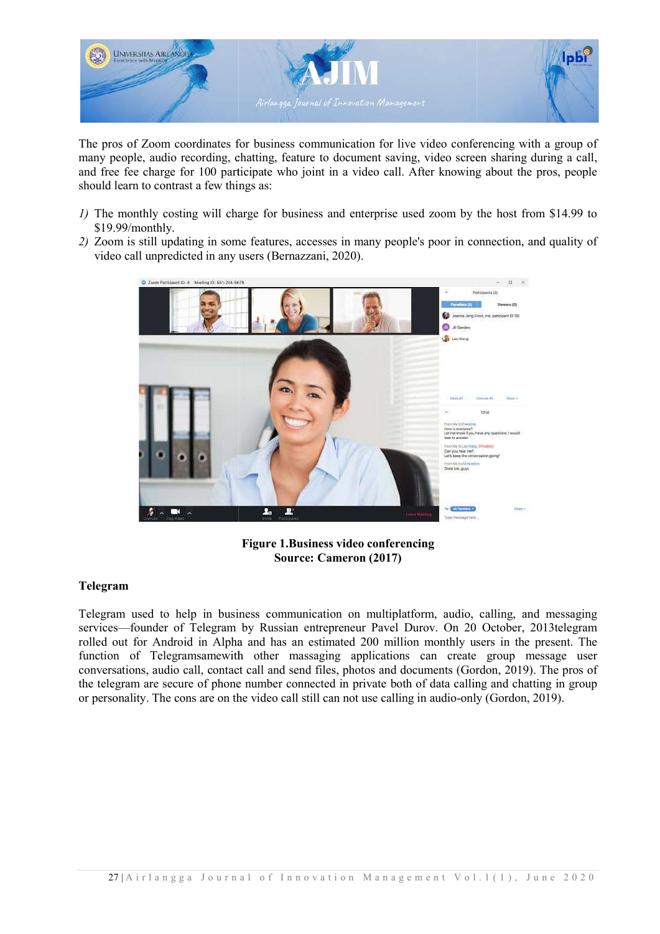

The pros of Zoom coordinates for business communication for live video conferencing with a group of many people, audio recording, chatting, feature to document saving, video screen sharing during a call, and free fee charge for 100 participate who joint in a video call. After knowing about the pros, people should learn to contrast a few things as:

- 1) The monthly costing will charge for business and enterprise used zoom by the host from \$14.99 to \$19.99/monthly.
- 2) Zoom is still updating in some features, accesses in many people's poor in connection, and quality of video call unpredicted in any users (Bernazzani, 2020).



Figure 1.Business video conferencing Source: Cameron (2017)

### Telegram

Telegram used to help in business communication on multiplatform, audio, services—founder of Telegram by Russian entrepreneur Pavel Durov. On 20 October, 2013 telegram rolled out for Android in Alpha and has an estimated 200 million monthly users in the present. The rolled out for Android in Alpha and has an estimated 200 million monthly users in the present. The function of Telegramsamewith other massaging applications can create group message user conversations, audio call, contact call and send files, photos and documents (Gordon, 2019). The pros of the telegram are secure of phone number connected in private both of data calling and chatting in group or personality. The cons are on the video call still can not use calling in audio-only (Gordon, 2019).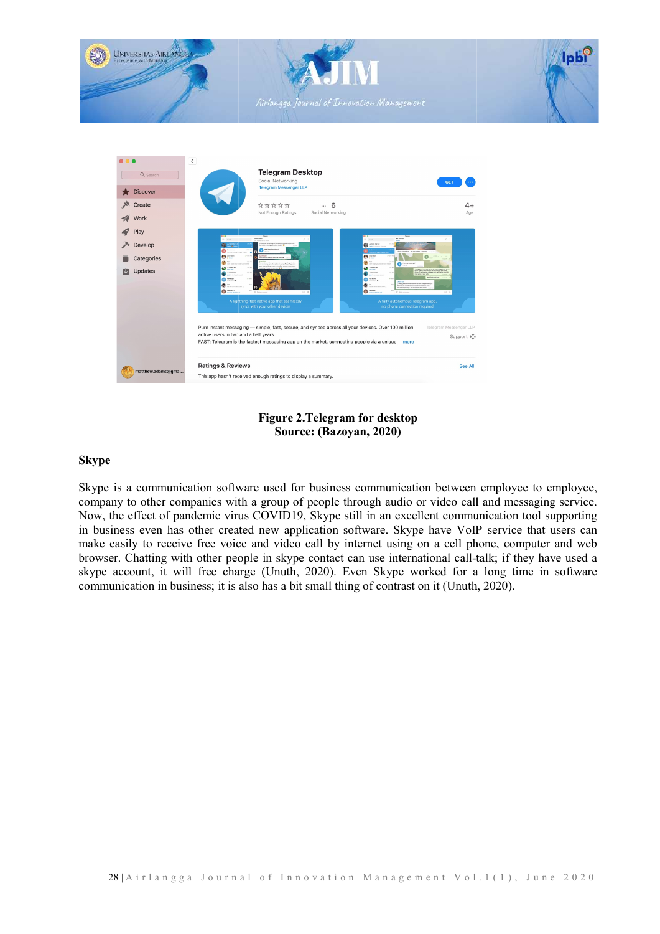

# Figure 2.Telegram for desktop Source: (Bazoyan, 2020)

# Skype

Skype is a communication software used for business communication between employee to employee, company to other companies with a group of people through audio or video call and messaging service. Now, the effect of pandemic virus COVID19, Skype still in an excellent communication tool supporting in business even has other created new application software. Skype have VoIP service that users can make easily to receive free voice and video call by internet using on a cell phone, computer and web browser. Chatting with other people in skype contact can use international call-talk; if they have used a skype account, it will free charge (Unuth, 2020). Even Skype worked for a long time in software communication in business; it is also has a bit small thing of contrast on it (Unuth, 2020).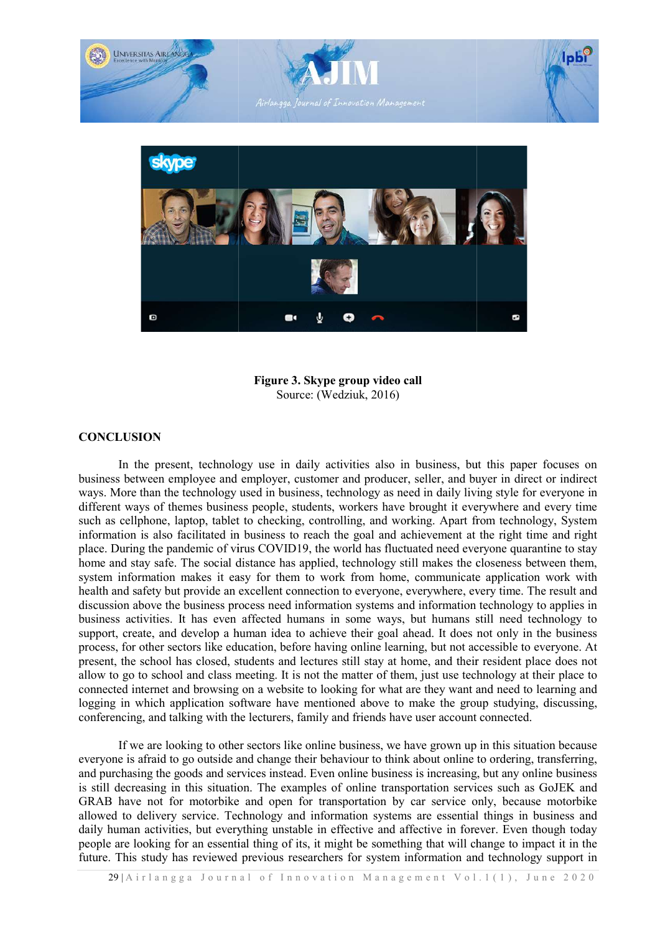

Figure 3. Skype group video call Source: (Wedziuk, 2016)

### **CONCLUSION**

In the present, technology use in daily activities also in business, but this paper focuses on business between employee and employer, customer and producer, seller, and buyer in direct or indirect ways. More than the technology used in business, technology as need in daily living style for everyone in different ways of themes business people, students, workers have brought it everywhere and every time such as cellphone, laptop, tablet to checking, controlling, and working. Apart from technology, System information is also facilitated in business to reach the goal and achievement at the right time and right place. During the pandemic of virus COVID19, the world has fluctuated need everyone quarantine to stay home and stay safe. The social distance has applied, technology still makes the closeness between them, system information makes it easy for them to work from home, communicate application work with system information makes it easy for them to work from home, communicate application health and safety but provide an excellent connection to everyone, everywhere, every time. The result and discussion above the business process need information systems and information technology to applies in business activities. It has even affected humans in some ways, but humans still need technology to support, create, and develop a human idea to achieve their goal ahead. It does not only in the business process, for other sectors like education, before having online learning, but not accessible to everyone. At present, the school has closed, students and lectures still stay at home, and their resident place does not allow to go to school and class meeting. It is not the matter of them, just use technology at their place to connected internet and browsing on a website to looking for what are they want and need to learning and logging in which application software have mentioned above to make the group studying, discussing, conferencing, and talking with the lecturers, family and friends have user account connected.

If we are looking to other sectors like online business, we have grown up in this situation because everyone is afraid to go outside and change their behaviour to think about online to ordering, transferring, and purchasing the goods and services instead. Even online business is increasing, but any online business is still decreasing in this situation. The examples of online transportation services such as GoJEK and GRAB have not for motorbike and open for transportation by car service only, because motorbike allowed to delivery service. Technology and information systems are essential things in business and daily human activities, but everything unstable in effective and affective in forever. Even though today people are looking for an essential thing of its, it might be something that will change to impact it in the future. This study has reviewed previous researchers for system information and technology support in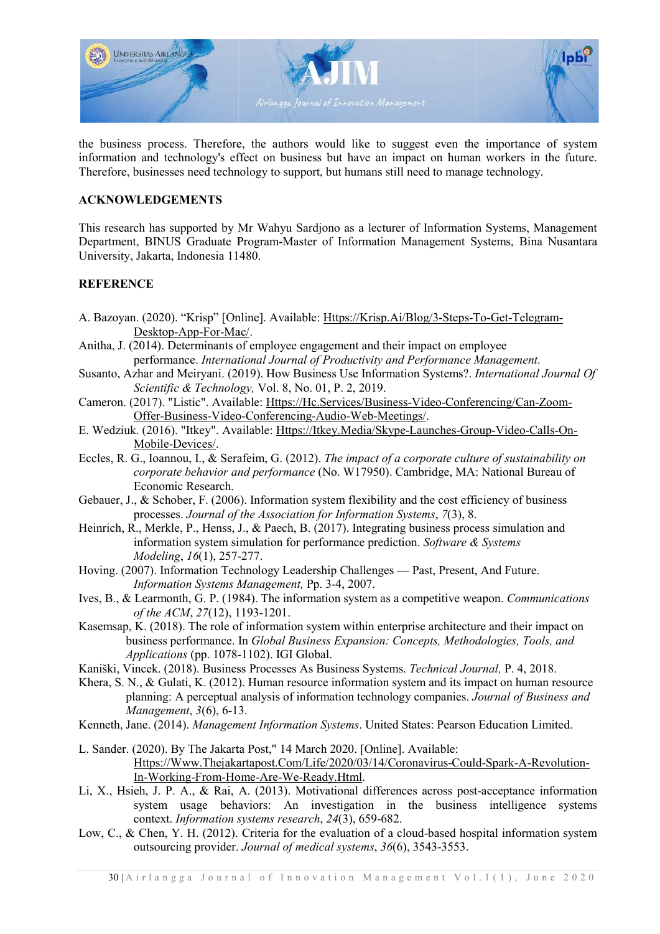

the business process. Therefore, the authors would like to suggest even the importance of system information and technology's effect on business but have an impact on human workers in the future. Therefore, businesses need technology to support, but humans still need to manage technology.

## ACKNOWLEDGEMENTS

This research has supported by Mr Wahyu Sardjono as a lecturer of Information Systems, Management Department, BINUS Graduate Program-Master of Information Management Systems, Bina Nusantara University, Jakarta, Indonesia 11480. Department, BINUS Graduate Program-Master of Information Management Systems, Bina Nu<br>University, Jakarta, Indonesia 11480.<br>REFERENCE<br>A. Bazoyan. (2020). "Krisp" [Online]. Available: <u>Https://Krisp.Ai/Blog/3-Steps-To-Get-Te</u>

# **REFERENCE**

- Desktop-App-For-Mac/.
- Anitha, J. (2014). Determinants of employee engagement and their impact on employee performance. International Journal of Productivity and Performance Management.
- Susanto, Azhar and Meiryani. (2019). How Business Use Information Systems?. International Journal Of Scientific & Technology, Scientific & Technology, Vol. 8, No. 01, P. 2, 2019.
- Cameron. (2017). "Listic". Available: Https://Hc.Services/Business-Video-Conferencing/Can-Zoom-Offer-Business-Video-Conferencing-Audio-Web-Meetings/.
- E. Wedziuk. (2016). "Itkey". Available: *Https://Itkey.Media/Skype-Launches-Group-Video-Calls-On-*Mobile-Devices/.
- Eccles, R. G., Ioannou, I., & Serafeim, G. (2012). The impact of a corporate culture of sustainability on corporate behavior and performance (No. W17950). Cambridge, MA: National Bureau of Economic Research.
- Gebauer, J., & Schober, F. (2006). Information system flexibility and the cost efficiency of business processes. Journal of the Association for Information Systems, 7(3), 8.
- Heinrich, R., Merkle, P., Henss, J., & Paech, B. (2017). Integrating business process simulation and information system simulation for performance prediction. Software & Systems Modeling, 16(1), 257-277.
- Hoving. (2007). Information Technology Leadership Challenges Past, Present, And Future. Information Systems Management, Pp. 3-4, 2007.
- Ives, B., & Learmonth, G. P. (1984). The information system as a competitive weapon. Communications of the ACM, 27(12), 1193-1201.
- Kasemsap, K. (2018). The role of information system within enterprise architecture and their impact on business performance. In Global Business Expansion: Concepts, Methodologies, Tools, and Applications (pp. 1078-1102). IGI Global. cture and their impa<br>*thodologies, Tools, a<br>Journal,* P. 4, 2018.
- Kaniški, Vincek. (2018). Business Processes As Business Systems. Technical Journal,
- Khera, S. N., & Gulati, K. (2012). Human resource information system and its impact on human resource planning: A perceptual analysis of information technology companies. Journal of Business and planning: A perceptual analysis of information technology companies. Journal of Business and Management, 3(6), 6-13.
- Kenneth, Jane. (2014). Management Information Systems. United States: Pearson Education Limited.
- L. Sander. (2020). By The Jakarta Post," 14 March 2020. [Online]. Available: (2020). By The Jakarta Post," 14 March 2020. [Online]. Available:<br>Https://Www.Thejakartapost.Com/Life/2020/03/14/Coronavirus-Could-Spark-A-Revolution-In-Working-From-Home Home-Are-We-Ready.Html.
- Li, X., Hsieh, J. P. A., & Rai, A. (2013). Motivational differences across post-acceptance information system usage behaviors: An investigation in the business intelligence systems context. Information systems research, 24(3), 659-682. Hsieh, J. P. A., & Rai, A. (2013). Motivational differences across post-acceptance information system usage behaviors: An investigation in the business intelligence systems context. *Information systems research*, 24(3), 6
- Low, C., & Chen, Y. H. (2012). Criteria for the evaluation of a cloud-based hospital information system outsourcing provider. Journal of medical systems, 36(6), 3543-3553.